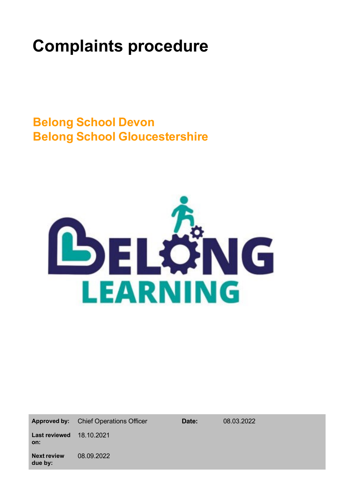# **Complaints procedure**

**Belong School Devon Belong School Gloucestershire**



Approved by: Chief Operations Officer **Date:** 08.03.2022

**Next review due by:** 08.09.2022

**Last reviewed** 18.10.2021

**on:**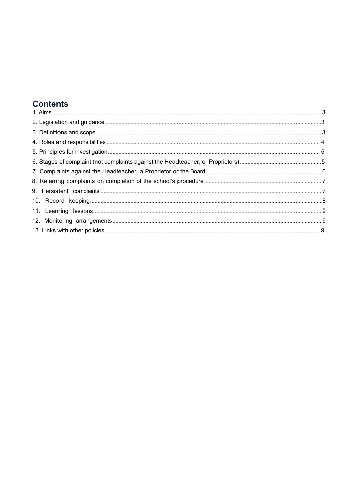# **Contents**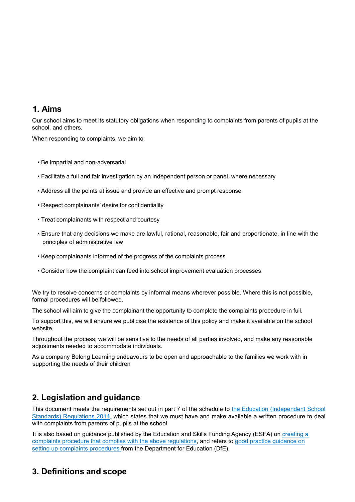## <span id="page-2-0"></span>**1. Aims**

Our school aims to meet its statutory obligations when responding to complaints from parents of pupils at the school, and others.

When responding to complaints, we aim to:

- Be impartial and non-adversarial
- Facilitate a full and fair investigation by an independent person or panel, where necessary
- Address all the points at issue and provide an effective and prompt response
- Respect complainants' desire for confidentiality
- Treat complainants with respect and courtesy
- Ensure that any decisions we make are lawful, rational, reasonable, fair and proportionate, in line with the principles of administrative law
- Keep complainants informed of the progress of the complaints process
- Consider how the complaint can feed into school improvement evaluation processes

We try to resolve concerns or complaints by informal means wherever possible. Where this is not possible, formal procedures will be followed.

The school will aim to give the complainant the opportunity to complete the complaints procedure in full.

To support this, we will ensure we publicise the existence of this policy and make it available on the school website.

Throughout the process, we will be sensitive to the needs of all parties involved, and make any reasonable adjustments needed to accommodate individuals.

As a company Belong Learning endeavours to be open and approachable to the families we work with in supporting the needs of their children

# <span id="page-2-1"></span>**2. Legislation and guidance**

This document meets the requirements set out in part 7 of the schedule to the Education (Independent School Standards) Regulations 2014, which states that we must have and make available a written procedure to deal with complaints from parents of pupils at the school.

It is also based on guidance published by the Education and Skills Funding Agency (ESFA) on creating a complaints procedure that complies with the above regulations, and refers to good practice guidance on setting up complaints procedures from the Department for Education (DfE).

# <span id="page-2-2"></span>**3. Definitions and scope**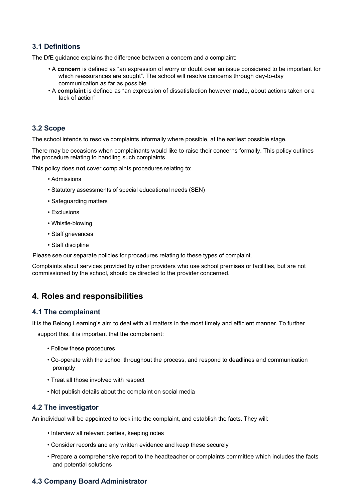## **3.1 Definitions**

The DfE guidance explains the difference between a concern and a complaint:

- A **concern** is defined as "an expression of worry or doubt over an issue considered to be important for which reassurances are sought". The school will resolve concerns through day-to-day communication as far as possible
- A **complaint** is defined as "an expression of dissatisfaction however made, about actions taken or a lack of action"

## **3.2 Scope**

The school intends to resolve complaints informally where possible, at the earliest possible stage.

There may be occasions when complainants would like to raise their concerns formally. This policy outlines the procedure relating to handling such complaints.

This policy does **not** cover complaints procedures relating to:

- Admissions
- Statutory assessments of special educational needs (SEN)
- Safeguarding matters
- Exclusions
- Whistle-blowing
- Staff grievances
- Staff discipline

Please see our separate policies for procedures relating to these types of complaint.

Complaints about services provided by other providers who use school premises or facilities, but are not commissioned by the school, should be directed to the provider concerned.

## <span id="page-3-0"></span>**4. Roles and responsibilities**

### **4.1 The complainant**

It is the Belong Learning's aim to deal with all matters in the most timely and efficient manner. To further

support this, it is important that the complainant:

- Follow these procedures
- Co-operate with the school throughout the process, and respond to deadlines and communication promptly
- Treat all those involved with respect
- Not publish details about the complaint on social media

### **4.2 The investigator**

An individual will be appointed to look into the complaint, and establish the facts. They will:

- Interview all relevant parties, keeping notes
- Consider records and any written evidence and keep these securely
- Prepare a comprehensive report to the headteacher or complaints committee which includes the facts and potential solutions

## **4.3 Company Board Administrator**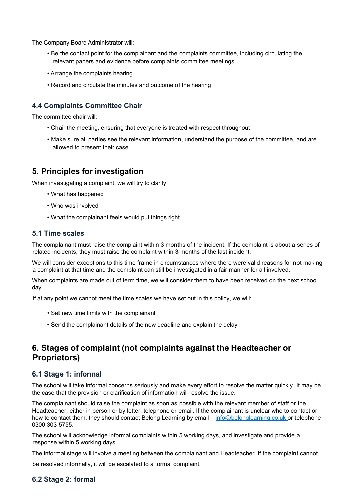The Company Board Administrator will:

- Be the contact point for the complainant and the complaints committee, including circulating the relevant papers and evidence before complaints committee meetings
- Arrange the complaints hearing
- Record and circulate the minutes and outcome of the hearing

## **4.4 Complaints Committee Chair**

The committee chair will:

- Chair the meeting, ensuring that everyone is treated with respect throughout
- Make sure all parties see the relevant information, understand the purpose of the committee, and are allowed to present their case

## <span id="page-4-0"></span>**5. Principles for investigation**

When investigating a complaint, we will try to clarify:

- What has happened
- Who was involved
- What the complainant feels would put things right

### **5.1 Time scales**

The complainant must raise the complaint within 3 months of the incident. If the complaint is about a series of related incidents, they must raise the complaint within 3 months of the last incident.

We will consider exceptions to this time frame in circumstances where there were valid reasons for not making a complaint at that time and the complaint can still be investigated in a fair manner for all involved.

When complaints are made out of term time, we will consider them to have been received on the next school day.

If at any point we cannot meet the time scales we have set out in this policy, we will:

- Set new time limits with the complainant
- Send the complainant details of the new deadline and explain the delay

# <span id="page-4-1"></span>**6. Stages of complaint (not complaints against the Headteacher or Proprietors)**

## **6.1 Stage 1: informal**

The school will take informal concerns seriously and make every effort to resolve the matter quickly. It may be the case that the provision or clarification of information will resolve the issue.

The complainant should raise the complaint as soon as possible with the relevant member of staff or the Headteacher, either in person or by letter, telephone or email. If the complainant is unclear who to contact or how to contact them, they should contact Belong Learning by email – [info@belonglearning.co.uk or t](mailto:info@belonglearning.co.ukor)elephone 0300 303 5755.

The school will acknowledge informal complaints within 5 working days, and investigate and provide a response within 5 working days.

The informal stage will involve a meeting between the complainant and Headteacher. If the complaint cannot

be resolved informally, it will be escalated to a formal complaint.

## **6.2 Stage 2: formal**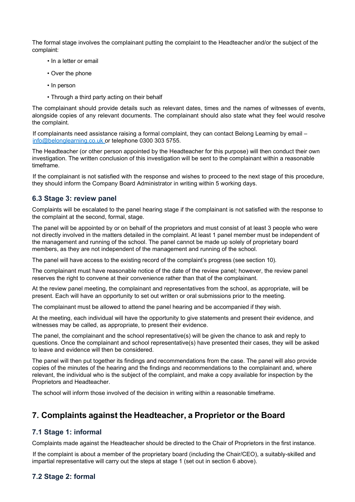The formal stage involves the complainant putting the complaint to the Headteacher and/or the subject of the complaint:

- In a letter or email
- Over the phone
- In person
- Through a third party acting on their behalf

The complainant should provide details such as relevant dates, times and the names of witnesses of events, alongside copies of any relevant documents. The complainant should also state what they feel would resolve the complaint.

If complainants need assistance raising a formal complaint, they can contact Belong Learning by email – [info@belonglearning.co.uk o](mailto:info@belonglearning.co.uk)r telephone 0300 303 5755.

The Headteacher (or other person appointed by the Headteacher for this purpose) will then conduct their own investigation. The written conclusion of this investigation will be sent to the complainant within a reasonable timeframe.

If the complainant is not satisfied with the response and wishes to proceed to the next stage of this procedure, they should inform the Company Board Administrator in writing within 5 working days.

### **6.3 Stage 3: review panel**

Complaints will be escalated to the panel hearing stage if the complainant is not satisfied with the response to the complaint at the second, formal, stage.

The panel will be appointed by or on behalf of the proprietors and must consist of at least 3 people who were not directly involved in the matters detailed in the complaint. At least 1 panel member must be independent of the management and running of the school. The panel cannot be made up solely of proprietary board members, as they are not independent of the management and running of the school.

The panel will have access to the existing record of the complaint's progress (see section 10).

The complainant must have reasonable notice of the date of the review panel; however, the review panel reserves the right to convene at their convenience rather than that of the complainant.

At the review panel meeting, the complainant and representatives from the school, as appropriate, will be present. Each will have an opportunity to set out written or oral submissions prior to the meeting.

The complainant must be allowed to attend the panel hearing and be accompanied if they wish.

At the meeting, each individual will have the opportunity to give statements and present their evidence, and witnesses may be called, as appropriate, to present their evidence.

The panel, the complainant and the school representative(s) will be given the chance to ask and reply to questions. Once the complainant and school representative(s) have presented their cases, they will be asked to leave and evidence will then be considered.

The panel will then put together its findings and recommendations from the case. The panel will also provide copies of the minutes of the hearing and the findings and recommendations to the complainant and, where relevant, the individual who is the subject of the complaint, and make a copy available for inspection by the Proprietors and Headteacher.

The school will inform those involved of the decision in writing within a reasonable timeframe.

## <span id="page-5-0"></span>**7. Complaints against the Headteacher, a Proprietor or the Board**

### **7.1 Stage 1: informal**

Complaints made against the Headteacher should be directed to the Chair of Proprietors in the first instance.

If the complaint is about a member of the proprietary board (including the Chair/CEO), a suitably-skilled and impartial representative will carry out the steps at stage 1 (set out in section 6 above).

## **7.2 Stage 2: formal**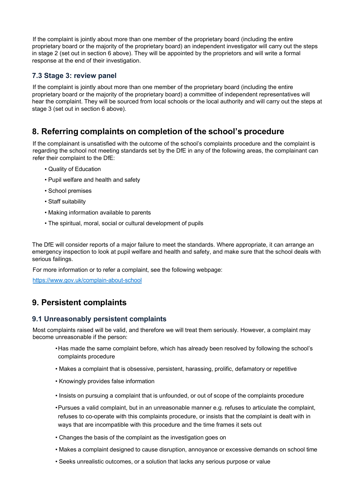If the complaint is jointly about more than one member of the proprietary board (including the entire proprietary board or the majority of the proprietary board) an independent investigator will carry out the steps in stage 2 (set out in section 6 above). They will be appointed by the proprietors and will write a formal response at the end of their investigation.

## **7.3 Stage 3: review panel**

If the complaint is jointly about more than one member of the proprietary board (including the entire proprietary board or the majority of the proprietary board) a committee of independent representatives will hear the complaint. They will be sourced from local schools or the local authority and will carry out the steps at stage 3 (set out in section 6 above).

# <span id="page-6-0"></span>**8. Referring complaints on completion of the school's procedure**

If the complainant is unsatisfied with the outcome of the school's complaints procedure and the complaint is regarding the school not meeting standards set by the DfE in any of the following areas, the complainant can refer their complaint to the DfE:

- Quality of Education
- Pupil welfare and health and safety
- School premises
- Staff suitability
- Making information available to parents
- The spiritual, moral, social or cultural development of pupils

The DfE will consider reports of a major failure to meet the standards. Where appropriate, it can arrange an emergency inspection to look at pupil welfare and health and safety, and make sure that the school deals with serious failings.

For more information or to refer a complaint, see the following webpage:

https:/[/www.gov.uk/complain-about-school](http://www.gov.uk/complain-about-school)

# <span id="page-6-1"></span>**9. Persistent complaints**

## **9.1 Unreasonably persistent complaints**

Most complaints raised will be valid, and therefore we will treat them seriously. However, a complaint may become unreasonable if the person:

- •Has made the same complaint before, which has already been resolved by following the school's complaints procedure
- Makes a complaint that is obsessive, persistent, harassing, prolific, defamatory or repetitive
- Knowingly provides false information
- Insists on pursuing a complaint that is unfounded, or out of scope of the complaints procedure
- •Pursues a valid complaint, but in an unreasonable manner e.g. refuses to articulate the complaint, refuses to co-operate with this complaints procedure, or insists that the complaint is dealt with in ways that are incompatible with this procedure and the time frames it sets out
- Changes the basis of the complaint as the investigation goes on
- Makes a complaint designed to cause disruption, annoyance or excessive demands on school time
- Seeks unrealistic outcomes, or a solution that lacks any serious purpose or value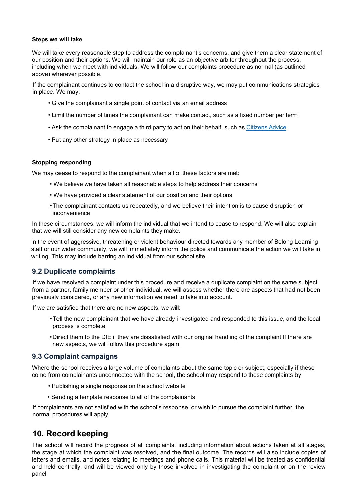#### **Steps we will take**

We will take every reasonable step to address the complainant's concerns, and give them a clear statement of our position and their options. We will maintain our role as an objective arbiter throughout the process, including when we meet with individuals. We will follow our complaints procedure as normal (as outlined above) wherever possible.

If the complainant continues to contact the school in a disruptive way, we may put communications strategies in place. We may:

- Give the complainant a single point of contact via an email address
- Limit the number of times the complainant can make contact, such as a fixed number per term
- Ask the complainant to engage a third party to act on their behalf, such as Citizens Advice
- Put any other strategy in place as necessary

#### **Stopping responding**

We may cease to respond to the complainant when all of these factors are met:

- We believe we have taken all reasonable steps to help address their concerns
- We have provided a clear statement of our position and their options
- •The complainant contacts us repeatedly, and we believe their intention is to cause disruption or inconvenience

In these circumstances, we will inform the individual that we intend to cease to respond. We will also explain that we will still consider any new complaints they make.

In the event of aggressive, threatening or violent behaviour directed towards any member of Belong Learning staff or our wider community, we will immediately inform the police and communicate the action we will take in writing. This may include barring an individual from our school site.

### **9.2 Duplicate complaints**

If we have resolved a complaint under this procedure and receive a duplicate complaint on the same subject from a partner, family member or other individual, we will assess whether there are aspects that had not been previously considered, or any new information we need to take into account.

If we are satisfied that there are no new aspects, we will:

- •Tell the new complainant that we have already investigated and responded to this issue, and the local process is complete
- •Direct them to the DfE if they are dissatisfied with our original handling of the complaint If there are new aspects, we will follow this procedure again.

### **9.3 Complaint campaigns**

Where the school receives a large volume of complaints about the same topic or subject, especially if these come from complainants unconnected with the school, the school may respond to these complaints by:

- Publishing a single response on the school website
- Sending a template response to all of the complainants

If complainants are not satisfied with the school's response, or wish to pursue the complaint further, the normal procedures will apply.

## <span id="page-7-0"></span>**10. Record keeping**

The school will record the progress of all complaints, including information about actions taken at all stages, the stage at which the complaint was resolved, and the final outcome. The records will also include copies of letters and emails, and notes relating to meetings and phone calls. This material will be treated as confidential and held centrally, and will be viewed only by those involved in investigating the complaint or on the review panel.